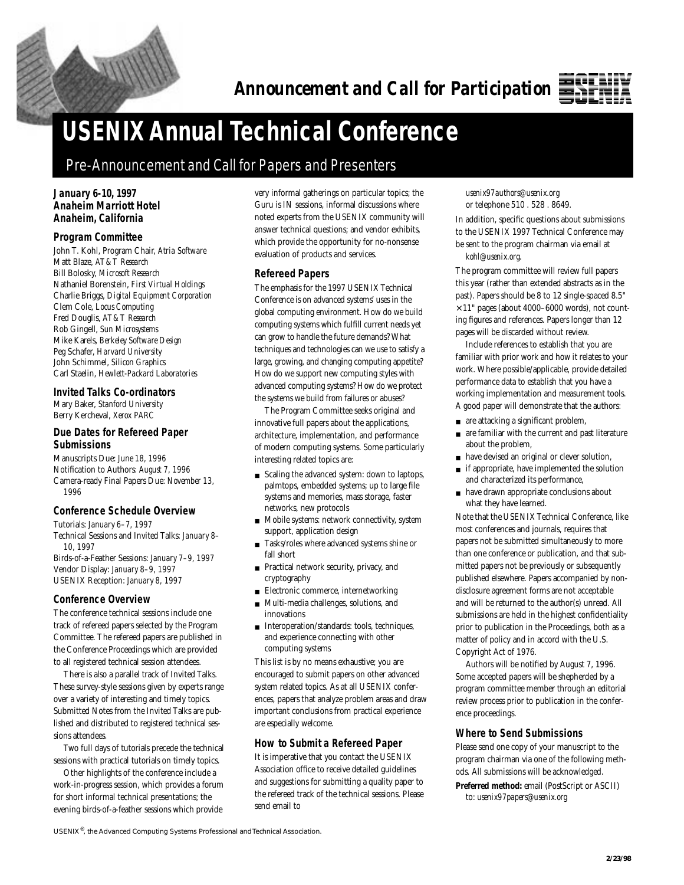

# **USENIX Annual Technical Conference**

# **Pre-Announcement and Call for Papers and Presenters**

#### **January 6-10, 1997 Anaheim Marriott Hotel Anaheim, California**

#### **Program Committee**

John T. Kohl, Program Chair, *Atria Software* Matt Blaze, *AT&T Research* Bill Bolosky, *Microsoft Research* Nathaniel Borenstein, *First Virtual Holdings* Charlie Briggs, *Digital Equipment Corporation* Clem Cole, *Locus Computing* Fred Douglis, *AT&T Research* Rob Gingell, *Sun Microsystems* Mike Karels, *Berkeley Software Design* Peg Schafer, *Harvard University* John Schimmel, *Silicon Graphics* Carl Staelin, *Hewlett-Packard Laboratories*

#### **Invited Talks Co-ordinators**

Mary Baker, *Stanford University* Berry Kercheval, *Xerox PARC*

# **Due Dates for Refereed Paper Submissions**

Manuscripts Due: *June 18, 1996* Notification to Authors: *August 7, 1996* Camera-ready Final Papers Due: *November 13, 1996*

#### **Conference Schedule Overview**

Tutorials: *January 6–7, 1997* Technical Sessions and Invited Talks: *January 8– 10, 1997* Birds-of-a-Feather Sessions: *January 7–9, 1997*

Vendor Display: *January 8–9, 1997* USENIX Reception: *January 8, 1997*

#### **Conference Overview**

The conference technical sessions include one track of refereed papers selected by the Program Committee. The refereed papers are published in the Conference Proceedings which are provided to all registered technical session attendees.

There is also a parallel track of Invited Talks. These survey-style sessions given by experts range over a variety of interesting and timely topics. Submitted Notes from the Invited Talks are published and distributed to registered technical sessions attendees.

Two full days of tutorials precede the technical sessions with practical tutorials on timely topics.

Other highlights of the conference include a work-in-progress session, which provides a forum for short informal technical presentations; the evening birds-of-a-feather sessions which provide

very informal gatherings on particular topics; the Guru is IN sessions, informal discussions where noted experts from the USENIX community will answer technical questions; and vendor exhibits, which provide the opportunity for no-nonsense evaluation of products and services.

#### **Refereed Papers**

The emphasis for the 1997 USENIX Technical Conference is on advanced systems' uses in the global computing environment. How do we build computing systems which fulfill current needs yet can grow to handle the future demands? What techniques and technologies can we use to satisfy a large, growing, and changing computing appetite? How do we support new computing styles with advanced computing systems? How do we protect the systems we build from failures or abuses?

The Program Committee seeks original and innovative full papers about the applications, architecture, implementation, and performance of modern computing systems. Some particularly interesting related topics are:

- Scaling the advanced system: down to laptops, palmtops, embedded systems; up to large file systems and memories, mass storage, faster networks, new protocols
- Mobile systems: network connectivity, system support, application design
- Tasks/roles where advanced systems shine or fall short
- Practical network security, privacy, and cryptography
- Electronic commerce, internetworking
- Multi-media challenges, solutions, and innovations
- Interoperation/standards: tools, techniques, and experience connecting with other computing systems

This list is by no means exhaustive; you are encouraged to submit papers on other advanced system related topics. As at all USENIX conferences, papers that analyze problem areas and draw important conclusions from practical experience are especially welcome.

#### **How to Submit a Refereed Paper**

It is imperative that you contact the USENIX Association office to receive detailed guidelines and suggestions for submitting a quality paper to the refereed track of the technical sessions. Please send email to

*usenix97authors@usenix.org* or telephone 510 . 528 . 8649.

In addition, specific questions about submissions to the USENIX 1997 Technical Conference may be sent to the program chairman via email at *kohl@usenix.org.*

The program committee will review full papers this year (rather than extended abstracts as in the past). Papers should be 8 to 12 single-spaced 8.5"  $\times$  11" pages (about 4000–6000 words), not counting figures and references. Papers longer than 12 pages will be discarded without review.

Include references to establish that you are familiar with prior work and how it relates to your work. Where possible/applicable, provide detailed performance data to establish that you have a working implementation and measurement tools. A good paper will demonstrate that the authors:

- are attacking a significant problem,
- are familiar with the current and past literature about the problem,
- have devised an original or clever solution,
- if appropriate, have implemented the solution and characterized its performance,
- have drawn appropriate conclusions about what they have learned.

Note that the USENIX Technical Conference, like most conferences and journals, requires that papers not be submitted simultaneously to more than one conference or publication, and that submitted papers not be previously or subsequently published elsewhere. Papers accompanied by nondisclosure agreement forms are not acceptable and will be returned to the author(s) unread. All submissions are held in the highest confidentiality prior to publication in the Proceedings, both as a matter of policy and in accord with the U.S. Copyright Act of 1976.

Authors will be notified by August 7, 1996. Some accepted papers will be shepherded by a program committee member through an editorial review process prior to publication in the conference proceedings.

#### **Where to Send Submissions**

Please send one copy of your manuscript to the program chairman via one of the following methods. All submissions will be acknowledged.

**Preferred method:** email (PostScript or ASCII) to: *usenix97papers@usenix.org*

USENIX®, the Advanced Computing Systems Professional and Technical Association.